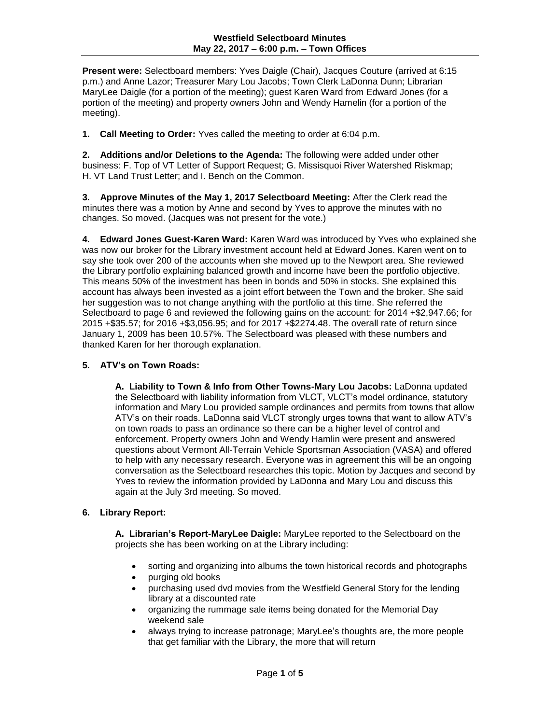**Present were:** Selectboard members: Yves Daigle (Chair), Jacques Couture (arrived at 6:15 p.m.) and Anne Lazor; Treasurer Mary Lou Jacobs; Town Clerk LaDonna Dunn; Librarian MaryLee Daigle (for a portion of the meeting); guest Karen Ward from Edward Jones (for a portion of the meeting) and property owners John and Wendy Hamelin (for a portion of the meeting).

**1. Call Meeting to Order:** Yves called the meeting to order at 6:04 p.m.

**2. Additions and/or Deletions to the Agenda:** The following were added under other business: F. Top of VT Letter of Support Request; G. Missisquoi River Watershed Riskmap; H. VT Land Trust Letter; and I. Bench on the Common.

**3. Approve Minutes of the May 1, 2017 Selectboard Meeting:** After the Clerk read the minutes there was a motion by Anne and second by Yves to approve the minutes with no changes. So moved. (Jacques was not present for the vote.)

**4. Edward Jones Guest-Karen Ward:** Karen Ward was introduced by Yves who explained she was now our broker for the Library investment account held at Edward Jones. Karen went on to say she took over 200 of the accounts when she moved up to the Newport area. She reviewed the Library portfolio explaining balanced growth and income have been the portfolio objective. This means 50% of the investment has been in bonds and 50% in stocks. She explained this account has always been invested as a joint effort between the Town and the broker. She said her suggestion was to not change anything with the portfolio at this time. She referred the Selectboard to page 6 and reviewed the following gains on the account: for 2014 +\$2,947.66; for 2015 +\$35.57; for 2016 +\$3,056.95; and for 2017 +\$2274.48. The overall rate of return since January 1, 2009 has been 10.57%. The Selectboard was pleased with these numbers and thanked Karen for her thorough explanation.

#### **5. ATV's on Town Roads:**

**A. Liability to Town & Info from Other Towns-Mary Lou Jacobs:** LaDonna updated the Selectboard with liability information from VLCT, VLCT's model ordinance, statutory information and Mary Lou provided sample ordinances and permits from towns that allow ATV's on their roads. LaDonna said VLCT strongly urges towns that want to allow ATV's on town roads to pass an ordinance so there can be a higher level of control and enforcement. Property owners John and Wendy Hamlin were present and answered questions about Vermont All-Terrain Vehicle Sportsman Association (VASA) and offered to help with any necessary research. Everyone was in agreement this will be an ongoing conversation as the Selectboard researches this topic. Motion by Jacques and second by Yves to review the information provided by LaDonna and Mary Lou and discuss this again at the July 3rd meeting. So moved.

# **6. Library Report:**

**A. Librarian's Report-MaryLee Daigle:** MaryLee reported to the Selectboard on the projects she has been working on at the Library including:

- sorting and organizing into albums the town historical records and photographs
- purging old books
- purchasing used dvd movies from the Westfield General Story for the lending library at a discounted rate
- organizing the rummage sale items being donated for the Memorial Day weekend sale
- always trying to increase patronage; MaryLee's thoughts are, the more people that get familiar with the Library, the more that will return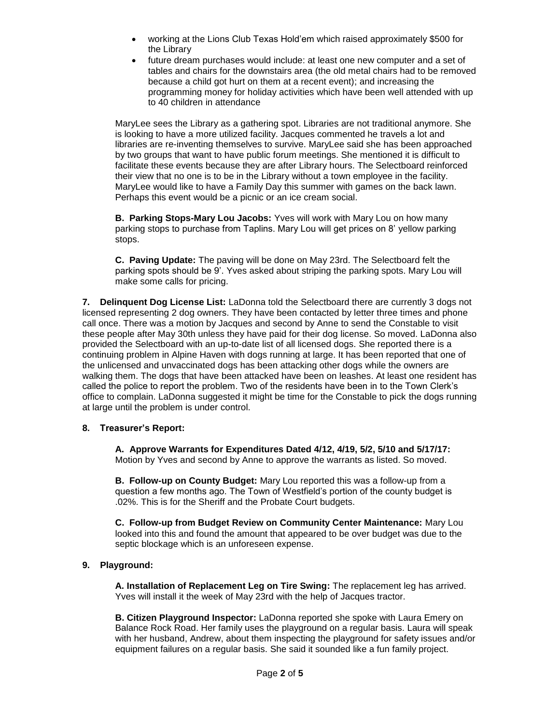- working at the Lions Club Texas Hold'em which raised approximately \$500 for the Library
- future dream purchases would include: at least one new computer and a set of tables and chairs for the downstairs area (the old metal chairs had to be removed because a child got hurt on them at a recent event); and increasing the programming money for holiday activities which have been well attended with up to 40 children in attendance

MaryLee sees the Library as a gathering spot. Libraries are not traditional anymore. She is looking to have a more utilized facility. Jacques commented he travels a lot and libraries are re-inventing themselves to survive. MaryLee said she has been approached by two groups that want to have public forum meetings. She mentioned it is difficult to facilitate these events because they are after Library hours. The Selectboard reinforced their view that no one is to be in the Library without a town employee in the facility. MaryLee would like to have a Family Day this summer with games on the back lawn. Perhaps this event would be a picnic or an ice cream social.

**B. Parking Stops-Mary Lou Jacobs:** Yves will work with Mary Lou on how many parking stops to purchase from Taplins. Mary Lou will get prices on 8' yellow parking stops.

**C. Paving Update:** The paving will be done on May 23rd. The Selectboard felt the parking spots should be 9'. Yves asked about striping the parking spots. Mary Lou will make some calls for pricing.

**7. Delinquent Dog License List:** LaDonna told the Selectboard there are currently 3 dogs not licensed representing 2 dog owners. They have been contacted by letter three times and phone call once. There was a motion by Jacques and second by Anne to send the Constable to visit these people after May 30th unless they have paid for their dog license. So moved. LaDonna also provided the Selectboard with an up-to-date list of all licensed dogs. She reported there is a continuing problem in Alpine Haven with dogs running at large. It has been reported that one of the unlicensed and unvaccinated dogs has been attacking other dogs while the owners are walking them. The dogs that have been attacked have been on leashes. At least one resident has called the police to report the problem. Two of the residents have been in to the Town Clerk's office to complain. LaDonna suggested it might be time for the Constable to pick the dogs running at large until the problem is under control.

## **8. Treasurer's Report:**

**A. Approve Warrants for Expenditures Dated 4/12, 4/19, 5/2, 5/10 and 5/17/17:** Motion by Yves and second by Anne to approve the warrants as listed. So moved.

**B. Follow-up on County Budget:** Mary Lou reported this was a follow-up from a question a few months ago. The Town of Westfield's portion of the county budget is .02%. This is for the Sheriff and the Probate Court budgets.

**C. Follow-up from Budget Review on Community Center Maintenance:** Mary Lou looked into this and found the amount that appeared to be over budget was due to the septic blockage which is an unforeseen expense.

# **9. Playground:**

**A. Installation of Replacement Leg on Tire Swing:** The replacement leg has arrived. Yves will install it the week of May 23rd with the help of Jacques tractor.

**B. Citizen Playground Inspector:** LaDonna reported she spoke with Laura Emery on Balance Rock Road. Her family uses the playground on a regular basis. Laura will speak with her husband, Andrew, about them inspecting the playground for safety issues and/or equipment failures on a regular basis. She said it sounded like a fun family project.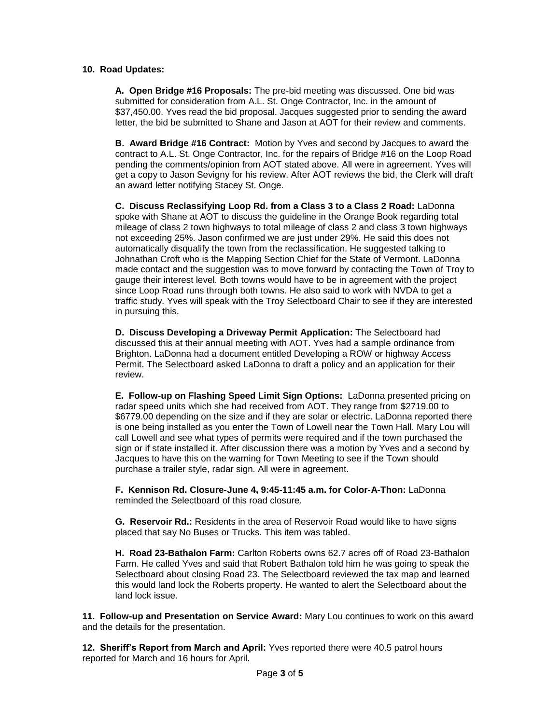### **10. Road Updates:**

**A. Open Bridge #16 Proposals:** The pre-bid meeting was discussed. One bid was submitted for consideration from A.L. St. Onge Contractor, Inc. in the amount of \$37,450.00. Yves read the bid proposal. Jacques suggested prior to sending the award letter, the bid be submitted to Shane and Jason at AOT for their review and comments.

**B. Award Bridge #16 Contract:** Motion by Yves and second by Jacques to award the contract to A.L. St. Onge Contractor, Inc. for the repairs of Bridge #16 on the Loop Road pending the comments/opinion from AOT stated above. All were in agreement. Yves will get a copy to Jason Sevigny for his review. After AOT reviews the bid, the Clerk will draft an award letter notifying Stacey St. Onge.

**C. Discuss Reclassifying Loop Rd. from a Class 3 to a Class 2 Road:** LaDonna spoke with Shane at AOT to discuss the guideline in the Orange Book regarding total mileage of class 2 town highways to total mileage of class 2 and class 3 town highways not exceeding 25%. Jason confirmed we are just under 29%. He said this does not automatically disqualify the town from the reclassification. He suggested talking to Johnathan Croft who is the Mapping Section Chief for the State of Vermont. LaDonna made contact and the suggestion was to move forward by contacting the Town of Troy to gauge their interest level. Both towns would have to be in agreement with the project since Loop Road runs through both towns. He also said to work with NVDA to get a traffic study. Yves will speak with the Troy Selectboard Chair to see if they are interested in pursuing this.

**D. Discuss Developing a Driveway Permit Application:** The Selectboard had discussed this at their annual meeting with AOT. Yves had a sample ordinance from Brighton. LaDonna had a document entitled Developing a ROW or highway Access Permit. The Selectboard asked LaDonna to draft a policy and an application for their review.

**E. Follow-up on Flashing Speed Limit Sign Options:** LaDonna presented pricing on radar speed units which she had received from AOT. They range from \$2719.00 to \$6779.00 depending on the size and if they are solar or electric. LaDonna reported there is one being installed as you enter the Town of Lowell near the Town Hall. Mary Lou will call Lowell and see what types of permits were required and if the town purchased the sign or if state installed it. After discussion there was a motion by Yves and a second by Jacques to have this on the warning for Town Meeting to see if the Town should purchase a trailer style, radar sign. All were in agreement.

**F. Kennison Rd. Closure-June 4, 9:45-11:45 a.m. for Color-A-Thon:** LaDonna reminded the Selectboard of this road closure.

**G. Reservoir Rd.:** Residents in the area of Reservoir Road would like to have signs placed that say No Buses or Trucks. This item was tabled.

**H. Road 23-Bathalon Farm:** Carlton Roberts owns 62.7 acres off of Road 23-Bathalon Farm. He called Yves and said that Robert Bathalon told him he was going to speak the Selectboard about closing Road 23. The Selectboard reviewed the tax map and learned this would land lock the Roberts property. He wanted to alert the Selectboard about the land lock issue.

**11. Follow-up and Presentation on Service Award:** Mary Lou continues to work on this award and the details for the presentation.

**12. Sheriff's Report from March and April:** Yves reported there were 40.5 patrol hours reported for March and 16 hours for April.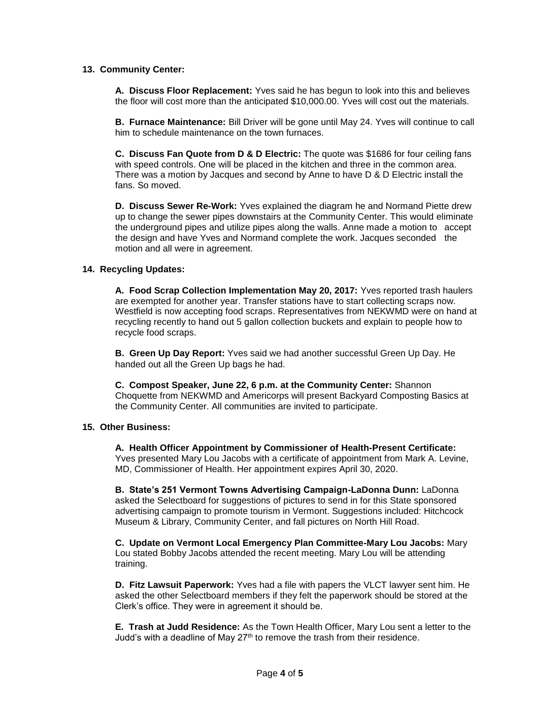#### **13. Community Center:**

**A. Discuss Floor Replacement:** Yves said he has begun to look into this and believes the floor will cost more than the anticipated \$10,000.00. Yves will cost out the materials.

**B. Furnace Maintenance:** Bill Driver will be gone until May 24. Yves will continue to call him to schedule maintenance on the town furnaces.

**C. Discuss Fan Quote from D & D Electric:** The quote was \$1686 for four ceiling fans with speed controls. One will be placed in the kitchen and three in the common area. There was a motion by Jacques and second by Anne to have D & D Electric install the fans. So moved.

**D. Discuss Sewer Re-Work:** Yves explained the diagram he and Normand Piette drew up to change the sewer pipes downstairs at the Community Center. This would eliminate the underground pipes and utilize pipes along the walls. Anne made a motion to accept the design and have Yves and Normand complete the work. Jacques seconded the motion and all were in agreement.

### **14. Recycling Updates:**

**A. Food Scrap Collection Implementation May 20, 2017:** Yves reported trash haulers are exempted for another year. Transfer stations have to start collecting scraps now. Westfield is now accepting food scraps. Representatives from NEKWMD were on hand at recycling recently to hand out 5 gallon collection buckets and explain to people how to recycle food scraps.

**B. Green Up Day Report:** Yves said we had another successful Green Up Day. He handed out all the Green Up bags he had.

 **C. Compost Speaker, June 22, 6 p.m. at the Community Center:** Shannon Choquette from NEKWMD and Americorps will present Backyard Composting Basics at the Community Center. All communities are invited to participate.

#### **15. Other Business:**

**A. Health Officer Appointment by Commissioner of Health-Present Certificate:** Yves presented Mary Lou Jacobs with a certificate of appointment from Mark A. Levine, MD, Commissioner of Health. Her appointment expires April 30, 2020.

**B. State's 251 Vermont Towns Advertising Campaign-LaDonna Dunn:** LaDonna asked the Selectboard for suggestions of pictures to send in for this State sponsored advertising campaign to promote tourism in Vermont. Suggestions included: Hitchcock Museum & Library, Community Center, and fall pictures on North Hill Road.

**C. Update on Vermont Local Emergency Plan Committee-Mary Lou Jacobs:** Mary Lou stated Bobby Jacobs attended the recent meeting. Mary Lou will be attending training.

**D. Fitz Lawsuit Paperwork:** Yves had a file with papers the VLCT lawyer sent him. He asked the other Selectboard members if they felt the paperwork should be stored at the Clerk's office. They were in agreement it should be.

**E. Trash at Judd Residence:** As the Town Health Officer, Mary Lou sent a letter to the Judd's with a deadline of May 27<sup>th</sup> to remove the trash from their residence.